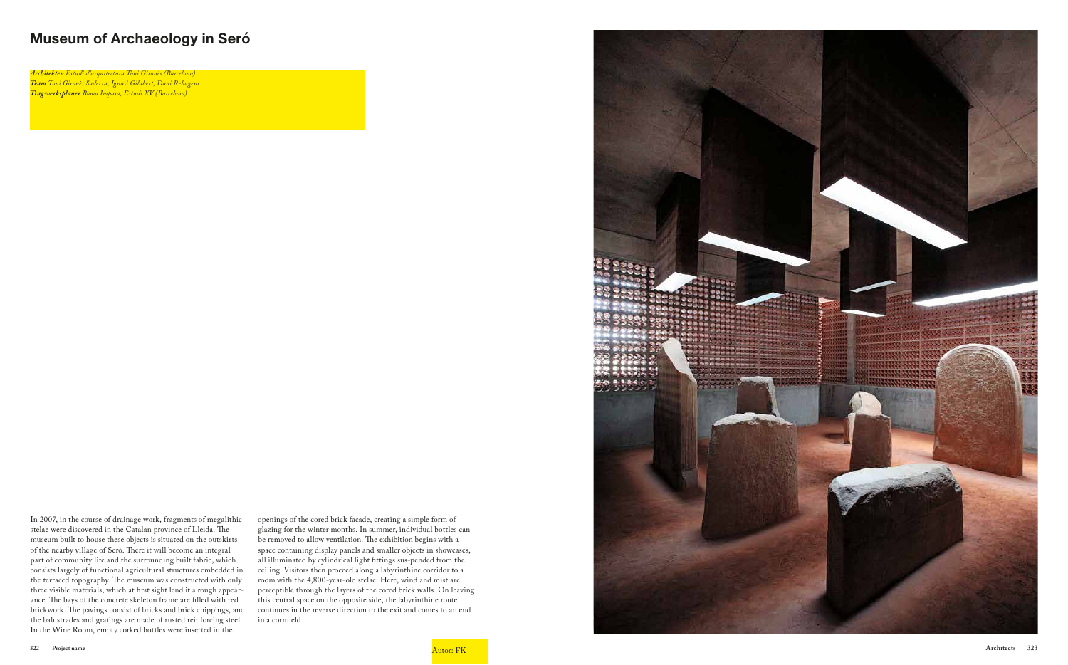## **Museum of Archaeology in Seró**

In 2007, in the course of drainage work, fragments of megalithic stelae were discovered in the Catalan province of Lleida. The museum built to house these objects is situated on the outskirts of the nearby village of Seró. There it will become an integral part of community life and the surrounding built fabric, which consists largely of functional agricultural structures embedded in the terraced topography. The museum was constructed with only three visible materials, which at first sight lend it a rough appearance. The bays of the concrete skeleton frame are filled with red brickwork. The pavings consist of bricks and brick chippings, and the balustrades and gratings are made of rusted reinforcing steel. In the Wine Room, empty corked bottles were inserted in the

openings of the cored brick facade, creating a simple form of glazing for the winter months. In summer, individual bottles can be removed to allow ventilation. The exhibition begins with a space containing display panels and smaller objects in showcases, all illuminated by cylindrical light fittings sus-pended from the ceiling. Visitors then proceed along a labyrinthine corridor to a room with the 4,800-year-old stelae. Here, wind and mist are perceptible through the layers of the cored brick walls. On leaving this central space on the opposite side, the labyrinthine route continues in the reverse direction to the exit and comes to an end in a cornfield.



*Architekten Estudi d'arquitectura Toni Gironès (Barcelona) Team Toni Gironès Saderra, Ignasi Gilabert, Dani Rebugent Tragwerksplaner Boma Impasa, Estudi XV (Barcelona)*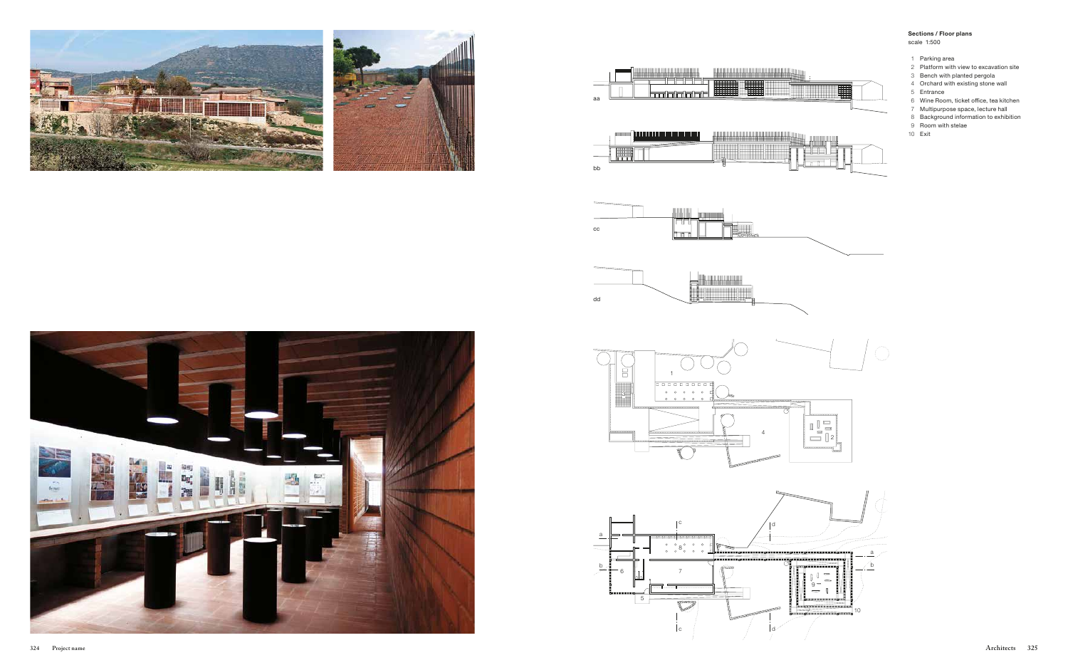## **Sections / Floor plans** scale 1:500









- 1 Parking area
- 2 Platform with view to excavation site
- 3 Bench with planted pergola
- 4 Orchard with existing stone wall
- 5 Entrance
- 6 Wine Room, ticket office, tea kitchen
- 7 Multipurpose space, lecture hall
- 8 Background information to exhibition
- 9 Room with stelae
- 10 Exit





**IN BENEDIKA** 



<u> Hill Hill</u>

⊞⊞